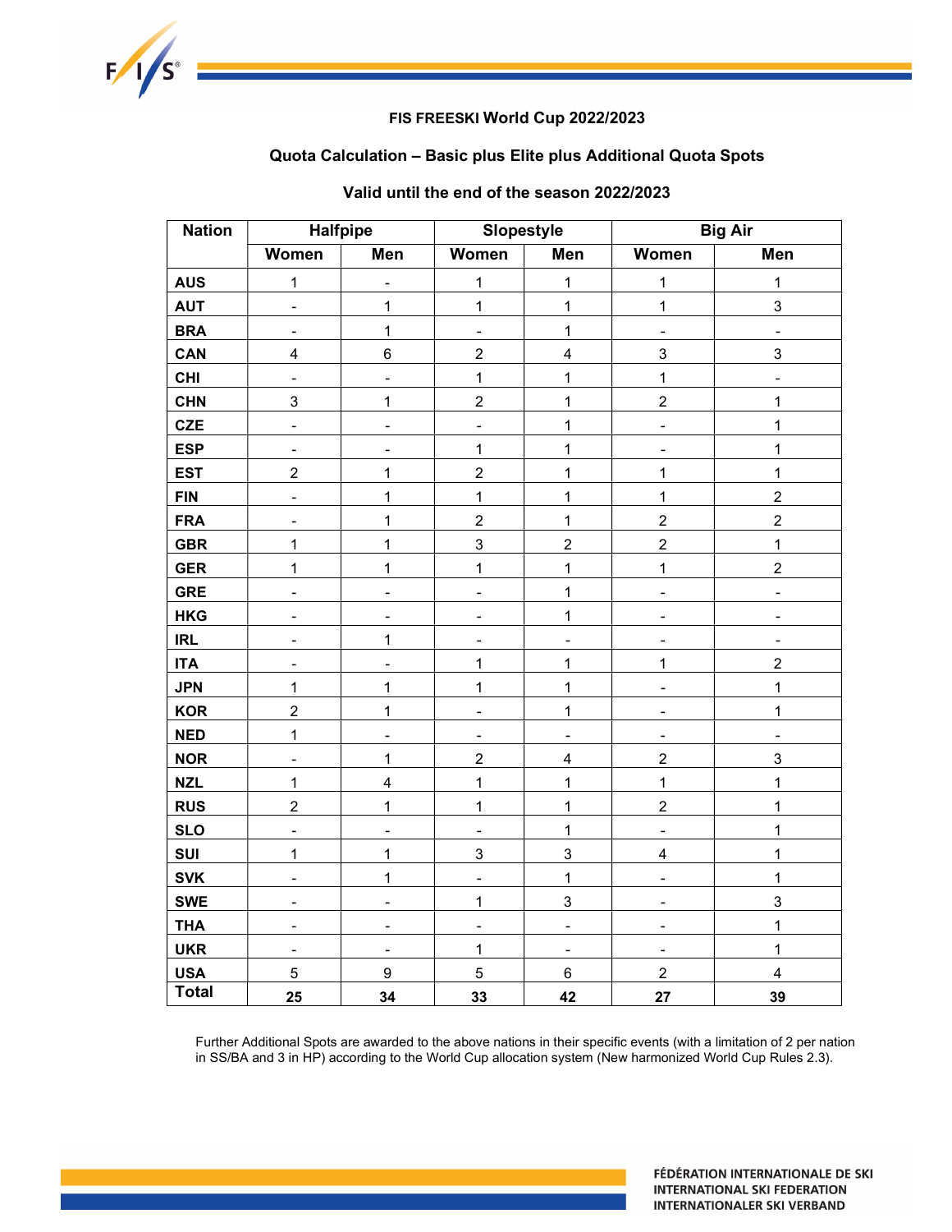

## FIS FREESKI World Cup 2022/2023

## Quota Calculation – Basic plus Elite plus Additional Quota Spots

| <b>Nation</b> | <b>Halfpipe</b>          |                              | <b>Slopestyle</b>            |                              |                          | <b>Big Air</b>          |
|---------------|--------------------------|------------------------------|------------------------------|------------------------------|--------------------------|-------------------------|
|               | <b>Women</b>             | <b>Men</b>                   | <b>Women</b>                 | Men                          | Women                    | <b>Men</b>              |
| <b>AUS</b>    | $\mathbf{1}$             | $\frac{1}{2}$                | $\mathbf{1}$                 | $\mathbf{1}$                 | $\mathbf{1}$             | $\mathbf{1}$            |
| <b>AUT</b>    | $\overline{\phantom{0}}$ | $\mathbf{1}$                 | $\mathbf{1}$                 | $\mathbf{1}$                 | $\overline{1}$           | 3                       |
| <b>BRA</b>    | $\overline{\phantom{a}}$ | $\mathbf{1}$                 | $\frac{1}{2}$                | $\mathbf{1}$                 | $\frac{1}{2}$            | $\overline{a}$          |
| CAN           | $\overline{\mathbf{4}}$  | 6                            | $\overline{c}$               | $\overline{\mathbf{4}}$      | 3                        | 3                       |
| <b>CHI</b>    | $\blacksquare$           | $\overline{a}$               | $\overline{1}$               | $\mathbf{1}$                 | $\mathbf{1}$             | $\overline{a}$          |
| <b>CHN</b>    | 3                        | $\mathbf 1$                  | $\sqrt{2}$                   | $\mathbf{1}$                 | $\overline{2}$           | $\mathbf{1}$            |
| <b>CZE</b>    | $\blacksquare$           | $\blacksquare$               | $\frac{1}{2}$                | $\mathbf{1}$                 | $\overline{a}$           | $\mathbf{1}$            |
| <b>ESP</b>    | $\blacksquare$           | $\qquad \qquad \blacksquare$ | $\mathbf{1}$                 | $\mathbf 1$                  | $\overline{\phantom{0}}$ | $\mathbf{1}$            |
| <b>EST</b>    | $\overline{2}$           | $\mathbf 1$                  | $\overline{2}$               | $\mathbf 1$                  | $\mathbf{1}$             | $\overline{1}$          |
| <b>FIN</b>    | $\blacksquare$           | $\mathbf 1$                  | $\mathbf{1}$                 | $\mathbf 1$                  | $\mathbf{1}$             | $\overline{2}$          |
| <b>FRA</b>    | $\overline{\phantom{a}}$ | $\mathbf{1}$                 | $\boldsymbol{2}$             | $\mathbf{1}$                 | $\overline{2}$           | $\overline{c}$          |
| <b>GBR</b>    | $\overline{1}$           | $\overline{1}$               | $\overline{3}$               | $\overline{a}$               | $\overline{2}$           | $\overline{1}$          |
| <b>GER</b>    | $\mathbf 1$              | $\mathbf{1}$                 | $\overline{1}$               | $\mathbf 1$                  | 1                        | $\overline{2}$          |
| <b>GRE</b>    | $\overline{a}$           | $\overline{a}$               | $\overline{a}$               | $\mathbf{1}$                 | $\overline{a}$           | $\overline{a}$          |
| <b>HKG</b>    | $\overline{a}$           | $\overline{a}$               | $\blacksquare$               | $\mathbf{1}$                 |                          | L,                      |
| <b>IRL</b>    | $\blacksquare$           | $\mathbf{1}$                 | $\qquad \qquad \blacksquare$ | $\qquad \qquad \blacksquare$ | $\overline{a}$           | $\overline{a}$          |
| <b>ITA</b>    | ۰                        | $\qquad \qquad \blacksquare$ | $\mathbf 1$                  | $\mathbf 1$                  | 1                        | $\overline{c}$          |
| <b>JPN</b>    | $\mathbf 1$              | $\mathbf 1$                  | $\mathbf{1}$                 | $\mathbf{1}$                 | $\blacksquare$           | $\mathbf{1}$            |
| <b>KOR</b>    | $\overline{2}$           | $\mathbf{1}$                 | $\overline{a}$               | $\mathbf{1}$                 | $\overline{a}$           | $\mathbf{1}$            |
| <b>NED</b>    | $\overline{1}$           | $\overline{a}$               | $\overline{a}$               | $\overline{a}$               | $\overline{a}$           | $\overline{a}$          |
| <b>NOR</b>    | $\blacksquare$           | $\mathbf{1}$                 | $\overline{c}$               | $\overline{\mathbf{4}}$      | $\overline{c}$           | 3                       |
| <b>NZL</b>    | $\overline{1}$           | 4                            | $\mathbf{1}$                 | $\mathbf{1}$                 | $\mathbf{1}$             | $\overline{1}$          |
| <b>RUS</b>    | $\overline{c}$           | $\mathbf{1}$                 | $\mathbf{1}$                 | $\mathbf 1$                  | $\overline{c}$           | $\overline{1}$          |
| <b>SLO</b>    | $\overline{\phantom{0}}$ | $\overline{a}$               | $\qquad \qquad \blacksquare$ | $\mathbf{1}$                 | $\overline{a}$           | $\mathbf{1}$            |
| SUI           | $\mathbf 1$              | $\mathbf 1$                  | 3                            | $\mathsf 3$                  | $\overline{\mathbf{4}}$  | $\overline{1}$          |
| <b>SVK</b>    | $\overline{a}$           | 1                            | $\overline{a}$               | $\mathbf{1}$                 | $\overline{a}$           | $\overline{1}$          |
| <b>SWE</b>    | $\blacksquare$           | $\overline{a}$               | 1                            | 3                            | $\overline{a}$           | 3                       |
| <b>THA</b>    | $\overline{a}$           | $\overline{a}$               | $\overline{a}$               | $\overline{a}$               | L.                       | $\overline{1}$          |
| <b>UKR</b>    | $\overline{\phantom{a}}$ | $\qquad \qquad -$            | $\mathbf 1$                  | $\overline{\phantom{a}}$     | $\overline{\phantom{a}}$ | $\mathbf{1}$            |
| <b>USA</b>    | 5                        | $\boldsymbol{9}$             | 5                            | $\,6\,$                      | $\overline{2}$           | $\overline{\mathbf{4}}$ |
| <b>Total</b>  | 25                       | 34                           | 33                           | 42                           | 27                       | 39                      |

# Valid until the end of the season 2022/2023

Further Additional Spots are awarded to the above nations in their specific events (with a limitation of 2 per nation in SS/BA and 3 in HP) according to the World Cup allocation system (New harmonized World Cup Rules 2.3).